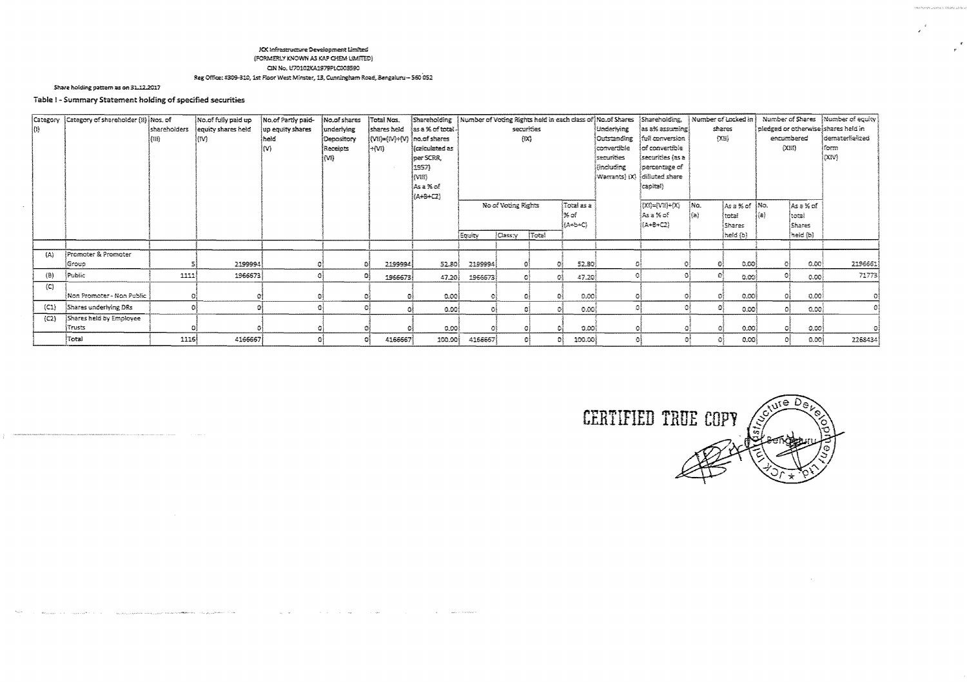#### KX Infrastructure Development Limited (FORMERLY KNOWN AS KAP CHEM LIMITED) CIN No. U70102KA1979PLC003590 Reg Office: #309-310, 1st Floor West Minster, 13, Cunningham Road, Bengakmu -- 560 052

Share holding pattern as on 31.12.2017

# Table I - Summary Statement holding of specified securities

|                     | Category Category of shareholder (ii) Mos. of |              | No.of fully paid up | No.of Partly paid- | Mo.of shares | Total Nos                  |                               |         |                     |       |                      |             | Shareholding   Number of Voting Rights held in each class of No.of Shares   Shareholding,   Number of Locked in |      |             |      |                | Number of Shares   Number of equity |
|---------------------|-----------------------------------------------|--------------|---------------------|--------------------|--------------|----------------------------|-------------------------------|---------|---------------------|-------|----------------------|-------------|-----------------------------------------------------------------------------------------------------------------|------|-------------|------|----------------|-------------------------------------|
| (I)                 |                                               | shareholders | lequity shares held | up equity shares   | underlying   | (shares held               | las a % of total              |         | securities          |       |                      | Underlying  | as a% assuming)                                                                                                 |      | shares      |      |                | pledged or otherwise shares held in |
|                     |                                               | (18)         | (M)                 | İheid              | Depository   | (Mi)={M}+{V} {no.af shares |                               |         | $\{xx\}$            |       |                      | Outstanding | (full conversion                                                                                                |      | (XB)        |      | encumbered     | <i>i</i> demateriialized            |
|                     |                                               |              |                     |                    | Receipts     | ៃវបារ                      | <i><b>(calculated as)</b></i> |         |                     |       |                      | convertible | lof convertible                                                                                                 |      |             |      | ${(\times n)}$ | ifons                               |
|                     |                                               |              |                     |                    | (M)          |                            | jper SCRA,                    |         |                     |       |                      | securities  | securities (as a                                                                                                |      |             |      |                | ioav)                               |
|                     |                                               |              |                     |                    |              |                            | 1957)                         |         |                     |       |                      | (including  | percentage of                                                                                                   |      |             |      |                |                                     |
|                     |                                               |              |                     |                    |              |                            | [vm                           |         |                     |       |                      |             | Warrants) (X)  dilluted share                                                                                   |      |             |      |                |                                     |
|                     |                                               |              |                     |                    |              |                            | lAsa%of                       |         |                     |       |                      |             | {capital}                                                                                                       |      |             |      |                |                                     |
|                     |                                               |              |                     |                    |              |                            | (A+8+C2)                      |         |                     |       |                      |             |                                                                                                                 |      |             |      |                |                                     |
|                     |                                               |              |                     |                    |              |                            |                               |         | No of Voting Rights |       | i Total as a         |             | $\mathbb{C}(\mathsf{X})=\mathbb{C}(\mathsf{X})-\mathbb{C}(\mathsf{X})$                                          | ina. | Asa% of No. |      | ∤Ase% of       |                                     |
|                     |                                               |              |                     |                    |              |                            |                               |         |                     |       | l‰af                 |             | Asa% of                                                                                                         | }(a) | itotai      | i{a} | itotai         |                                     |
|                     |                                               |              |                     |                    |              |                            |                               |         |                     |       | $\{A+BAC\}$          |             | (A+8+C2)                                                                                                        |      | Shares      |      | <b>Shares</b>  |                                     |
|                     |                                               |              |                     |                    |              |                            |                               | Εσιάτγ  | <b>Cass:y</b>       | Total |                      |             |                                                                                                                 |      | held (b)    |      | [heid {b}-     |                                     |
|                     |                                               |              |                     |                    |              |                            |                               |         |                     |       |                      |             |                                                                                                                 |      |             |      |                |                                     |
| (A)                 | Promoter & Promoter                           |              |                     |                    |              |                            |                               |         |                     |       |                      |             |                                                                                                                 |      |             |      |                |                                     |
|                     | Group                                         |              | 2199994             |                    |              | 2199994                    | 52.80                         | 2199994 |                     |       | 52.80                |             |                                                                                                                 |      | 0.001       |      | 0.00           | 2196661                             |
| $\langle B \rangle$ | Public                                        | 1111         | 1966673             |                    |              | 1966673                    | 47.20                         | 1966673 | -68                 |       | $-47.20$<br>O)       |             |                                                                                                                 |      | 0.00i       |      | 0.00           | 71773                               |
| (C)                 |                                               |              |                     |                    |              |                            |                               |         |                     |       |                      |             |                                                                                                                 |      |             |      |                |                                     |
|                     | i Non Promoter - Non Public                   |              |                     |                    |              |                            | 0.001                         |         |                     |       | 0.00                 |             |                                                                                                                 |      | 0.00        |      | 0.00           |                                     |
| (C1)                | Shares underlying DRs                         |              |                     |                    |              |                            | 0.001                         | ۵î      | ÐÌ                  |       | 0.00<br>$\mathbb{C}$ |             |                                                                                                                 |      | 0.00        |      | 0.00           |                                     |
| (C2)                | Shares held by Employee                       |              |                     |                    |              |                            |                               |         |                     |       |                      |             |                                                                                                                 |      |             |      |                |                                     |
|                     | Trusts                                        |              |                     |                    |              |                            | 0.001                         |         |                     |       | ುಖಾ                  |             |                                                                                                                 |      | 0.00        |      | 0.001          |                                     |
|                     | Total                                         | 1116         | 4166667             |                    |              | 4166667                    | 100.00                        | 4166667 |                     | 61    | 100.00<br>$^{22}$    |             |                                                                                                                 |      | 0.00        |      | 0.00           | 2268434                             |



 $\label{eq:RMS2} \mathbf{u}_{\text{total}} = \mathbf{u}_{\text{total}} + \mathbf{u}_{\text{total}} + \mathbf{u}_{\text{total}} + \mathbf{u}_{\text{total}} + \mathbf{u}_{\text{total}} + \mathbf{u}_{\text{total}} + \mathbf{u}_{\text{total}} + \mathbf{u}_{\text{total}} + \mathbf{u}_{\text{total}} + \mathbf{u}_{\text{total}} + \mathbf{u}_{\text{total}} + \mathbf{u}_{\text{total}} + \mathbf{u}_{\text{total}} + \mathbf{u}_{\text{total}} + \mathbf{u}_{\text{total}} + \mathbf{u}_{\text{total}} + \mathbf{u}_{\$  $\sim 10^{-10}$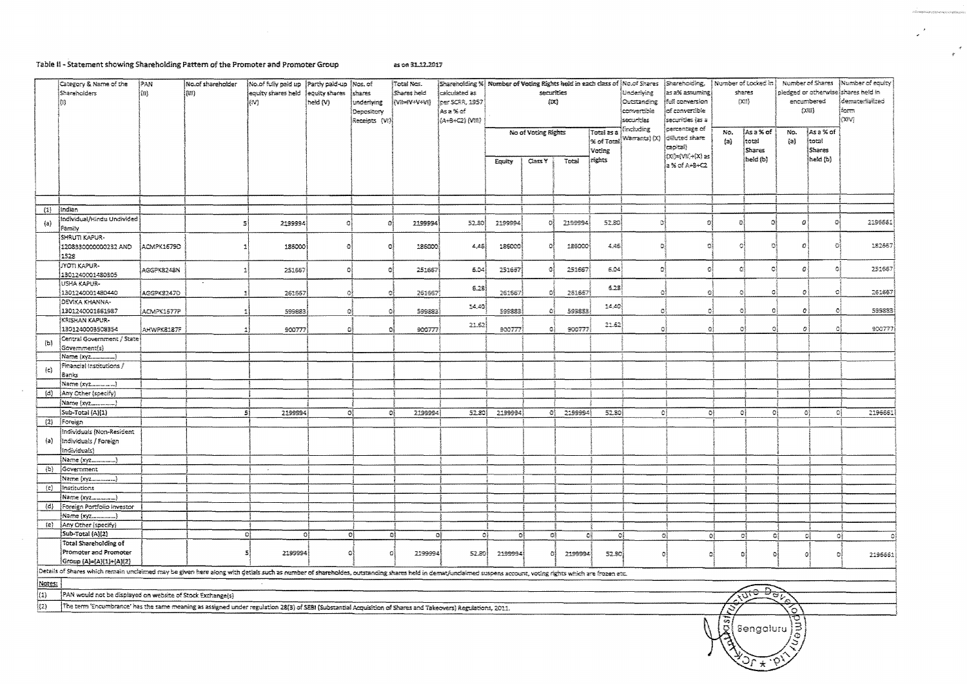## Table II - Statement showing Shareholding Pattern of the Promoter and Promoter Group

 $\sim$   $\sim$ 

as on 31.12.2017

|                     | Category & Name of the<br><b>Shareholders</b><br>ka)                                                                                                                                                       | Pan<br> (BI) | No.of shareholder<br>(III) | No.of fully paid up    Partly paid-up<br>equity shares held lequity shares<br>[IV] | heid (V) | Nos. of<br>Ishares<br>underhaag | Total Nos.<br>Shares held<br>(WHY+V+V) | $ \mathsf{S}$ hareholding % $ $ Nomber of Voting Rights held in each class of $ \mathsf{N}\text{a.c} $ Shareholding.<br>lcalculated as<br>per SCRR, 1957 |         | securities<br>$\{xx\}$ |            |                      | <i><b>Underlying</b></i><br>Outstanding                         | as a% assuming<br>ifull conversion                          |                | Number of Locked in  <br>shares<br>${233}$   | pledged or otherwise shares held in<br>encumbered |                             | Number of Shares (Number of equity)<br>Idematerlialized |
|---------------------|------------------------------------------------------------------------------------------------------------------------------------------------------------------------------------------------------------|--------------|----------------------------|------------------------------------------------------------------------------------|----------|---------------------------------|----------------------------------------|----------------------------------------------------------------------------------------------------------------------------------------------------------|---------|------------------------|------------|----------------------|-----------------------------------------------------------------|-------------------------------------------------------------|----------------|----------------------------------------------|---------------------------------------------------|-----------------------------|---------------------------------------------------------|
|                     |                                                                                                                                                                                                            |              |                            |                                                                                    |          | Depository<br>Receipts (Vi)     |                                        | Asa%rof<br>(A+8+C2) (VIII)                                                                                                                               |         |                        |            |                      | convertible<br>of convertible<br>Ísecurities (as a<br>secunties |                                                             |                |                                              |                                                   | {X键}                        | Íform<br>kxiva                                          |
|                     |                                                                                                                                                                                                            |              |                            |                                                                                    |          |                                 |                                        |                                                                                                                                                          |         | No of Voting Rights    |            | Total as a<br>Voting | (kockuding)<br>% of Total Warrants) (X)                         | jpercentage of<br>olikated share<br>czokai)                 | No.<br>$\{a\}$ | lAs a % of<br>total<br>Shares                | No.<br>(a)                                        | ≬Asa%of<br>ltoral<br>Shares |                                                         |
|                     |                                                                                                                                                                                                            |              |                            |                                                                                    |          |                                 |                                        |                                                                                                                                                          | Equity  | Cass Y                 | Total      | rights               |                                                                 | $[X] = \{V\mathbb{Z} \} \rightarrow [X]$ as<br>a% of A+B+C2 |                | heid (b)                                     |                                                   | heid (b)                    |                                                         |
|                     |                                                                                                                                                                                                            |              |                            |                                                                                    |          |                                 |                                        |                                                                                                                                                          |         |                        |            |                      |                                                                 |                                                             |                |                                              |                                                   |                             |                                                         |
| (1)                 | Indian                                                                                                                                                                                                     |              |                            |                                                                                    |          |                                 |                                        |                                                                                                                                                          |         |                        |            |                      |                                                                 |                                                             |                |                                              |                                                   |                             |                                                         |
| (a)                 | Individual/Hindu Undivided<br>Farrilly                                                                                                                                                                     |              | 5                          | 2199994                                                                            |          |                                 | 2199994                                | 52.80                                                                                                                                                    | 2199994 |                        | 2199994    | 52.30                | ಿ                                                               | O.                                                          | n              | Ω                                            | $\boldsymbol{O}$                                  | гy.                         | 2196661                                                 |
|                     | SHRUTI KAPUR-<br>1208330000000232 AND                                                                                                                                                                      | ACMPK1679D   |                            | 186000                                                                             | o        | 資産                              | 186000                                 | 4,45                                                                                                                                                     | 186000  | $\Omega$               | 186000     | 4.48                 | -G)                                                             | τł                                                          | ā              | Οł                                           | O                                                 | ō                           | 182657                                                  |
|                     | 1528<br><b>JYOTI KAPUR-</b>                                                                                                                                                                                | AGGPK8248N   |                            | 251657                                                                             | $\Omega$ | $\alpha$                        | 251657                                 | 5.04                                                                                                                                                     | 251657  | Ò                      | 251667     | 5.04                 | ĐÌ                                                              | G                                                           | Ō              | ٥                                            | Ð                                                 | Ú                           | 251667                                                  |
|                     | 1301240001480305<br>USHA KAPUR-                                                                                                                                                                            |              |                            |                                                                                    |          |                                 |                                        | 5.23                                                                                                                                                     |         |                        |            | 6.28                 |                                                                 |                                                             |                |                                              |                                                   |                             |                                                         |
|                     | 1301240001480440<br><b>DEVIKA KHANNA-</b>                                                                                                                                                                  | AGGPK32470   | и.                         | 261557                                                                             | 0ł       | 彩                               | 261667                                 |                                                                                                                                                          | 261667  | Οį                     | 251657     |                      | O.                                                              | ÐĮ                                                          | O              | O.                                           | $\pmb{\mathcal{O}}$                               | O)                          | 261667                                                  |
|                     | 1301240001661987<br>KRISHAN KAPUR-                                                                                                                                                                         | ACMPK1577P   | $\mathbf{1}$               | 599883                                                                             | ٥l       | Đ)                              | 599883                                 | 14,40                                                                                                                                                    | 599883  | -61                    | 599883     | 14,40                | -O!                                                             | ٥l                                                          | O.             | 0l                                           | o                                                 | Đ.                          | 599883                                                  |
|                     | 1301240003508354                                                                                                                                                                                           | AHWPK8187F   | -11                        | 900777                                                                             | Đ.       | Oi                              | 900777                                 | 21.62                                                                                                                                                    | 900777  | -31                    | 900777     | 21.62                | ٥ł                                                              | -01                                                         | ٥              | o                                            | B                                                 |                             | 900777                                                  |
| (b)                 | Central Government / State<br>Government(s)                                                                                                                                                                |              |                            |                                                                                    |          |                                 |                                        |                                                                                                                                                          |         |                        |            |                      |                                                                 |                                                             |                |                                              |                                                   |                             |                                                         |
|                     | Financial Institutions /                                                                                                                                                                                   |              |                            |                                                                                    |          |                                 |                                        |                                                                                                                                                          |         |                        |            |                      |                                                                 |                                                             |                |                                              |                                                   |                             |                                                         |
| (c)                 | Banks                                                                                                                                                                                                      |              |                            |                                                                                    |          |                                 |                                        |                                                                                                                                                          |         |                        |            |                      |                                                                 |                                                             |                |                                              |                                                   |                             |                                                         |
|                     | (d) {Any Other (specify)                                                                                                                                                                                   |              |                            |                                                                                    |          |                                 |                                        |                                                                                                                                                          |         |                        |            |                      |                                                                 |                                                             |                |                                              |                                                   |                             |                                                         |
|                     |                                                                                                                                                                                                            |              |                            |                                                                                    |          |                                 |                                        |                                                                                                                                                          |         |                        |            |                      |                                                                 |                                                             |                |                                              |                                                   |                             |                                                         |
|                     | Sub-Total (A)(1)                                                                                                                                                                                           |              | -S)                        | 2199994                                                                            |          | σĮ<br>ÐÎ                        | 2199994                                | 52.80                                                                                                                                                    | 2199994 |                        | 01 2199994 | 52.80                | $\mathcal{D}$                                                   | ÐĮ                                                          |                | ٥Į<br>$\mathbf{O}$                           | G)                                                |                             | 2196661<br>-QĮ                                          |
|                     | $(2)$ [Foreign                                                                                                                                                                                             |              |                            |                                                                                    |          |                                 |                                        |                                                                                                                                                          |         |                        |            |                      |                                                                 |                                                             |                |                                              |                                                   |                             |                                                         |
| (a)                 | Individuals (Non-Resident<br>¦Individuals / Foreign                                                                                                                                                        |              |                            |                                                                                    |          |                                 |                                        |                                                                                                                                                          |         |                        |            |                      |                                                                 |                                                             |                |                                              |                                                   |                             |                                                         |
|                     | Individuals)<br>Name (xvz                                                                                                                                                                                  |              |                            |                                                                                    |          |                                 |                                        |                                                                                                                                                          |         |                        |            |                      |                                                                 |                                                             |                |                                              |                                                   |                             |                                                         |
| (b)                 | Government                                                                                                                                                                                                 |              |                            |                                                                                    |          |                                 |                                        |                                                                                                                                                          |         |                        |            |                      |                                                                 |                                                             |                |                                              |                                                   |                             |                                                         |
|                     | Name (xyz)                                                                                                                                                                                                 |              |                            |                                                                                    |          |                                 |                                        |                                                                                                                                                          |         |                        |            |                      |                                                                 |                                                             |                |                                              |                                                   |                             |                                                         |
| $\langle c \rangle$ | Institutions                                                                                                                                                                                               |              |                            |                                                                                    |          |                                 |                                        |                                                                                                                                                          |         |                        |            |                      |                                                                 |                                                             |                |                                              |                                                   |                             |                                                         |
|                     | Name (xyz________)                                                                                                                                                                                         |              |                            |                                                                                    |          |                                 |                                        |                                                                                                                                                          |         |                        |            |                      |                                                                 |                                                             |                |                                              |                                                   |                             |                                                         |
|                     | (d) Foreign Portfolio Investor                                                                                                                                                                             |              |                            |                                                                                    |          |                                 |                                        |                                                                                                                                                          |         |                        |            |                      |                                                                 |                                                             |                |                                              |                                                   |                             |                                                         |
|                     | Name (xyz                                                                                                                                                                                                  |              |                            |                                                                                    |          |                                 |                                        |                                                                                                                                                          |         |                        |            |                      |                                                                 |                                                             |                |                                              |                                                   |                             |                                                         |
|                     | (e) Any Other (specify)                                                                                                                                                                                    |              |                            |                                                                                    |          |                                 |                                        |                                                                                                                                                          |         |                        |            |                      |                                                                 |                                                             |                |                                              |                                                   |                             |                                                         |
|                     | Sub-Total (A)(2)<br>Total Shareholding of                                                                                                                                                                  |              | oļ                         |                                                                                    | οĮ       | -O)                             | 4ł                                     | ٥ł<br>٥l                                                                                                                                                 | O)      | O)                     |            | C)<br>O)             |                                                                 | Gļ<br>٥ł                                                    |                | -ci<br>C,                                    |                                                   | C                           | ٥ł                                                      |
|                     | Promoter and Promoter<br>Group (A)={A){1}+{A){2}                                                                                                                                                           |              | 5.                         | 2199994                                                                            | -GŽ      | O.                              | 2199994                                | 52.80                                                                                                                                                    | 2199994 | -61                    | 2199994    | 52.80)               |                                                                 | ٥ł<br>O)                                                    |                | $\Omega$<br>O.                               | Đ.                                                | ం                           | 2196661                                                 |
|                     | Details of Shares which remain undaimed may be given here along with detials such as number of shareholdes, outstanding shares held in demat/undaimed suspens account, voting rights which are frozen etc. |              |                            |                                                                                    |          |                                 |                                        |                                                                                                                                                          |         |                        |            |                      |                                                                 |                                                             |                |                                              |                                                   |                             |                                                         |
| Notes:              |                                                                                                                                                                                                            |              |                            |                                                                                    |          |                                 |                                        |                                                                                                                                                          |         |                        |            |                      |                                                                 |                                                             |                |                                              |                                                   |                             |                                                         |
| (1)                 | PAN would not be displayed on website of Stock Exchange(s)                                                                                                                                                 |              |                            |                                                                                    |          |                                 |                                        |                                                                                                                                                          |         |                        |            |                      |                                                                 |                                                             |                | $\overrightarrow{\theta_{c}}$<br><b>RUTO</b> |                                                   |                             |                                                         |
| (2)                 | The term 'Encumbrance' has the same meaning as assigned under regulation 28(3) of SEBI (Substantial Acquisition of Shares and Takeovers) Regulations, 2011.                                                |              |                            |                                                                                    |          |                                 |                                        |                                                                                                                                                          |         |                        |            |                      |                                                                 |                                                             |                |                                              | ъ                                                 |                             |                                                         |
|                     |                                                                                                                                                                                                            |              |                            |                                                                                    |          |                                 |                                        |                                                                                                                                                          |         |                        |            |                      |                                                                 |                                                             | 55,            |                                              | হু                                                |                             |                                                         |

| sengaluru j Λ.  $\star$ 

.<br>Alia kodentziarratiak arabera erraik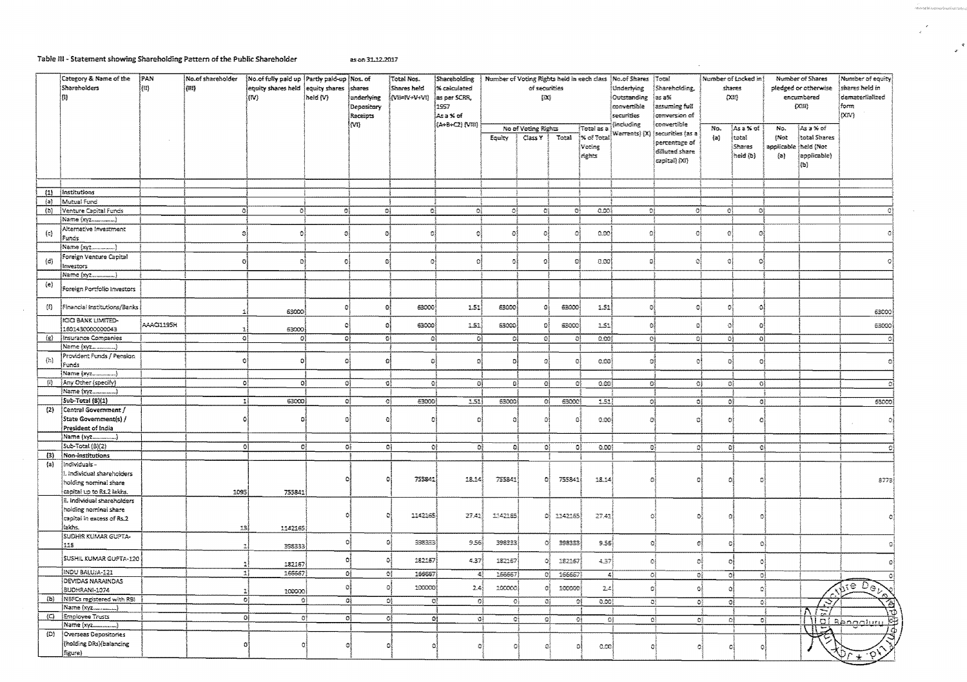## Table III - Statement showing Shareholding Pattern of the Public Shareholder

 $\sim 10^7$ 

as on 31,12,2017

|                     | Category & Name of the<br>Shareholders<br>m                                                       | PAN<br>$[!1] \centering% \includegraphics[width=1.8\columnwidth]{figures/fig_1a}% \includegraphics[width=1.8\columnwidth]{figures/fig_2b}% \includegraphics[width=1.8\columnwidth]{figures/fig_2b}% \includegraphics[width=1.8\columnwidth]{figures/fig_2b}% \includegraphics[width=1.8\columnwidth]{figures/fig_2b}% \includegraphics[width=1.8\columnwidth]{figures/fig_2b}% \includegraphics[width=1.8\columnwidth]{figures/fig_2b}% \includegraphics[width=1.8\columnwidth]{figures/fig_2b}% \includegraphics[width=1.8\columnwidth]{figures/fig_2b}% \includegraphics[width=1.8\columnwidth]{figures/fig_2b}% \includegraphics[width=1.8\columnwidth$ | No.of shareholder<br>$\langle \mathbf{m} \rangle$ | No.of fully paid up Partly paid-up Nos. of<br>equity shares held<br>lm). | equity shares shares<br>held (V) | underlying<br>Depository<br>Receipts<br>(M) | Total Nos.<br>Shares held<br>(VII=IV+V+VI) | Shareholding<br>% calculated<br>as per SCRR,<br>1957<br>¦Asa%rof<br>(A+B+C2) (VIII) | Number of Voting Rights held in each class | of securities<br>[DQ           |         |                                                | Mo of Shares<br>Total<br>Underlying<br>Shareholding,<br>Ías a%≍<br>Outstanding<br>convertible<br>assuming full<br>securities<br>conversion of<br>convertible<br>Including |                                                                      |                  | Number of Locked in<br>shares<br>O(32) | Number of Shares<br>pledged or otherwise<br>encumbered<br>(X331) |                                                                       | Number of equity<br>shares held in<br>dematerlialized<br>form<br>(XIV) |
|---------------------|---------------------------------------------------------------------------------------------------|------------------------------------------------------------------------------------------------------------------------------------------------------------------------------------------------------------------------------------------------------------------------------------------------------------------------------------------------------------------------------------------------------------------------------------------------------------------------------------------------------------------------------------------------------------------------------------------------------------------------------------------------------------|---------------------------------------------------|--------------------------------------------------------------------------|----------------------------------|---------------------------------------------|--------------------------------------------|-------------------------------------------------------------------------------------|--------------------------------------------|--------------------------------|---------|------------------------------------------------|---------------------------------------------------------------------------------------------------------------------------------------------------------------------------|----------------------------------------------------------------------|------------------|----------------------------------------|------------------------------------------------------------------|-----------------------------------------------------------------------|------------------------------------------------------------------------|
|                     |                                                                                                   |                                                                                                                                                                                                                                                                                                                                                                                                                                                                                                                                                                                                                                                            |                                                   |                                                                          |                                  |                                             |                                            |                                                                                     | <b>ερμάγ</b>                               | No of Voting Rights<br>Class Y | Total   | :Total as a<br>j% of Total<br>Voting<br>rights | Warrants) (X)                                                                                                                                                             | securities (as a<br>percentage of<br>diffuted share<br>capital) (XI) | No.<br>(a)       | }Asa%of<br>total<br>Shares<br>held (b) | No.<br>(Not<br>$\{a\}$                                           | ≬Asa%of<br>total Shares<br>applicable theid (Nor<br>applicable)<br>和) |                                                                        |
|                     |                                                                                                   |                                                                                                                                                                                                                                                                                                                                                                                                                                                                                                                                                                                                                                                            |                                                   |                                                                          |                                  |                                             |                                            |                                                                                     |                                            |                                |         |                                                |                                                                                                                                                                           |                                                                      |                  |                                        |                                                                  |                                                                       |                                                                        |
| (1)<br>(a)          | Institutions<br>Mutual Fund                                                                       |                                                                                                                                                                                                                                                                                                                                                                                                                                                                                                                                                                                                                                                            |                                                   |                                                                          |                                  |                                             |                                            |                                                                                     |                                            |                                |         |                                                |                                                                                                                                                                           |                                                                      |                  |                                        |                                                                  |                                                                       |                                                                        |
| (b)                 | Venture Capital Funds                                                                             |                                                                                                                                                                                                                                                                                                                                                                                                                                                                                                                                                                                                                                                            | οl                                                | $\mathbf{G}_2^2$                                                         | -91                              | $\mathbb{O}^1_1$                            | o)                                         | OÎ.                                                                                 | Oł.                                        | -O\$                           | ĐÎ,     | 0.001                                          | DÍ.                                                                                                                                                                       | 0Í                                                                   |                  | ĐÎ.<br>$\mathbb{Q}_2^3$                |                                                                  |                                                                       |                                                                        |
|                     | Name (xyz)                                                                                        |                                                                                                                                                                                                                                                                                                                                                                                                                                                                                                                                                                                                                                                            |                                                   |                                                                          |                                  |                                             |                                            |                                                                                     |                                            |                                |         |                                                |                                                                                                                                                                           |                                                                      |                  |                                        |                                                                  |                                                                       |                                                                        |
| (c)                 | Alternative Investment<br>Funds                                                                   |                                                                                                                                                                                                                                                                                                                                                                                                                                                                                                                                                                                                                                                            | Ø.                                                | ΩÍ                                                                       |                                  | O                                           | $\mathbf{C}$                               | 發                                                                                   | ø                                          | ٥j                             | Ø       | 0.00                                           | $\Omega$                                                                                                                                                                  | e                                                                    |                  | ø                                      |                                                                  |                                                                       |                                                                        |
|                     | Name (xyz                                                                                         |                                                                                                                                                                                                                                                                                                                                                                                                                                                                                                                                                                                                                                                            |                                                   |                                                                          |                                  |                                             |                                            | 雀                                                                                   |                                            |                                |         |                                                |                                                                                                                                                                           |                                                                      |                  |                                        |                                                                  |                                                                       |                                                                        |
| $\{d\}$             | Foreign Venture Capital<br>investors                                                              |                                                                                                                                                                                                                                                                                                                                                                                                                                                                                                                                                                                                                                                            | o                                                 | Đ.                                                                       |                                  | a                                           | $\Omega$                                   | O                                                                                   | Ø.                                         | $\Omega$                       |         | 0.00                                           |                                                                                                                                                                           |                                                                      |                  | ٥                                      |                                                                  |                                                                       |                                                                        |
|                     | Name (xyz<br>}                                                                                    |                                                                                                                                                                                                                                                                                                                                                                                                                                                                                                                                                                                                                                                            |                                                   |                                                                          |                                  |                                             |                                            |                                                                                     |                                            |                                |         |                                                |                                                                                                                                                                           |                                                                      |                  |                                        |                                                                  |                                                                       |                                                                        |
| $\langle$ e)        | Foreign Portfolio Investors                                                                       |                                                                                                                                                                                                                                                                                                                                                                                                                                                                                                                                                                                                                                                            |                                                   |                                                                          |                                  |                                             |                                            |                                                                                     |                                            |                                |         |                                                |                                                                                                                                                                           |                                                                      |                  |                                        |                                                                  |                                                                       |                                                                        |
| $\langle f \rangle$ | Financial Institutions/Banks<br>IGO BANK LIMITED-                                                 |                                                                                                                                                                                                                                                                                                                                                                                                                                                                                                                                                                                                                                                            | A.                                                | 63000                                                                    | $\Omega$                         | -oj                                         | 63000                                      | 1.51                                                                                | 63000                                      | o.                             | 63000   | 1.51                                           | G.                                                                                                                                                                        | $\Omega$                                                             | O.               | $\Omega$                               |                                                                  |                                                                       | 63000                                                                  |
|                     | 1601430000000043                                                                                  | AAACI1195H                                                                                                                                                                                                                                                                                                                                                                                                                                                                                                                                                                                                                                                 | -18                                               | 63000)                                                                   | o                                | -ei                                         | 63000                                      | 1.51                                                                                | 63000                                      | ol                             | 63000   | 1.51                                           | $\alpha$                                                                                                                                                                  | Ω                                                                    | o.               | Ð                                      |                                                                  |                                                                       | 63000                                                                  |
| $\langle g \rangle$ | Insurance Companies                                                                               |                                                                                                                                                                                                                                                                                                                                                                                                                                                                                                                                                                                                                                                            | -ol                                               | -OŠ                                                                      | ٥ŧ                               | ĐĮ.                                         | ۵ì                                         | Gł.                                                                                 | $\mathbb{C}^2$                             | O <sub>1</sub>                 | -eł     | 0.001                                          | ٥ł                                                                                                                                                                        | ٥i                                                                   |                  | ٥ł<br>ol                               |                                                                  |                                                                       |                                                                        |
|                     | Name (xyz)                                                                                        |                                                                                                                                                                                                                                                                                                                                                                                                                                                                                                                                                                                                                                                            |                                                   |                                                                          |                                  |                                             |                                            |                                                                                     |                                            |                                |         |                                                |                                                                                                                                                                           |                                                                      |                  |                                        |                                                                  |                                                                       |                                                                        |
| (h)                 | Provident Funds / Pension<br>Funds<br>Name (xy2)                                                  |                                                                                                                                                                                                                                                                                                                                                                                                                                                                                                                                                                                                                                                            | ٥İ                                                | -ol                                                                      | σł                               | ۵l                                          | -ol                                        | ್ನು                                                                                 | Ð.                                         | -ol                            |         | ോ                                              | S.                                                                                                                                                                        | Ω                                                                    |                  | ъł<br>Ō                                |                                                                  |                                                                       |                                                                        |
| 伯。                  | Any Other (specify)                                                                               |                                                                                                                                                                                                                                                                                                                                                                                                                                                                                                                                                                                                                                                            | oļ                                                | οļ                                                                       |                                  | ٥Ì<br>$\mathbf{O}$                          | $\Omega$                                   | Τ                                                                                   | ٥į                                         | ۵Î                             | -oi     | 0.00                                           | Đ,                                                                                                                                                                        | GÌ                                                                   |                  | $\sigma$<br>O)                         |                                                                  |                                                                       |                                                                        |
|                     | Name (xyz________)                                                                                |                                                                                                                                                                                                                                                                                                                                                                                                                                                                                                                                                                                                                                                            |                                                   |                                                                          |                                  |                                             |                                            |                                                                                     |                                            |                                |         |                                                |                                                                                                                                                                           |                                                                      |                  |                                        |                                                                  |                                                                       |                                                                        |
|                     | Sub-Total (B)(1)                                                                                  |                                                                                                                                                                                                                                                                                                                                                                                                                                                                                                                                                                                                                                                            | $\overline{1}$                                    | 63000                                                                    |                                  | ٥Į<br>-CÎ                                   | 63000)                                     | 1.51                                                                                | 63000                                      | 여                              | 0.000   | 1.51                                           | O,                                                                                                                                                                        | ĐĮ                                                                   |                  | oł<br>O)                               |                                                                  |                                                                       | 63000                                                                  |
| (2)                 | Central Government /<br>State Government(s) /<br>President of India                               |                                                                                                                                                                                                                                                                                                                                                                                                                                                                                                                                                                                                                                                            | ٥                                                 |                                                                          | ō                                | ũ                                           |                                            | Ð                                                                                   | ٥                                          | Ø.                             |         | 0.001                                          | ō                                                                                                                                                                         | Ω                                                                    |                  | 初<br>Ō                                 |                                                                  |                                                                       |                                                                        |
|                     | Name (xyz.                                                                                        |                                                                                                                                                                                                                                                                                                                                                                                                                                                                                                                                                                                                                                                            |                                                   |                                                                          |                                  |                                             |                                            |                                                                                     |                                            |                                |         |                                                |                                                                                                                                                                           |                                                                      |                  |                                        |                                                                  |                                                                       |                                                                        |
|                     | Sub-Total (B)(2)                                                                                  |                                                                                                                                                                                                                                                                                                                                                                                                                                                                                                                                                                                                                                                            | 0                                                 | অ                                                                        |                                  | Gļ<br>٥ł                                    | €ł                                         | oł.                                                                                 | ٥Į                                         | -ol                            | o)      | 0.00                                           | ÐĮ                                                                                                                                                                        |                                                                      | Ωł               | -G)<br>6Î                              |                                                                  |                                                                       |                                                                        |
| (3)                 | Non-institutions                                                                                  |                                                                                                                                                                                                                                                                                                                                                                                                                                                                                                                                                                                                                                                            |                                                   |                                                                          |                                  |                                             |                                            |                                                                                     |                                            |                                |         |                                                |                                                                                                                                                                           |                                                                      |                  |                                        |                                                                  |                                                                       |                                                                        |
| ${a}$               | Individuals -<br>1. Individual shareholders<br>holding nominal share<br>capital up to Rs.2 lakhs. |                                                                                                                                                                                                                                                                                                                                                                                                                                                                                                                                                                                                                                                            | 1095                                              | 755841                                                                   |                                  |                                             | 755841                                     | 18.14                                                                               | 755841                                     | -oj                            | 755841  | 18.14                                          |                                                                                                                                                                           |                                                                      | Ð                | n                                      |                                                                  |                                                                       | 8773                                                                   |
|                     | ii. Individual shareholders<br>holding nominal share<br>capital in excess of Rs.2<br>lakhs.       |                                                                                                                                                                                                                                                                                                                                                                                                                                                                                                                                                                                                                                                            | -13)                                              | 1142165                                                                  |                                  | a                                           | 1142165                                    | 27.42                                                                               | 1142185                                    | 허                              | 1142165 | 27.42                                          |                                                                                                                                                                           |                                                                      | O                | C                                      |                                                                  |                                                                       |                                                                        |
|                     | SUDHIR KUMAR GUPTA-                                                                               |                                                                                                                                                                                                                                                                                                                                                                                                                                                                                                                                                                                                                                                            |                                                   |                                                                          | Ō.                               | GÎ                                          | 398333                                     | 9.56                                                                                | 398333                                     | ō                              | 398333  |                                                |                                                                                                                                                                           |                                                                      |                  |                                        |                                                                  |                                                                       |                                                                        |
|                     | 118<br>SUSHIL KUMAR GUPTA-120                                                                     |                                                                                                                                                                                                                                                                                                                                                                                                                                                                                                                                                                                                                                                            |                                                   | 398333                                                                   | ٥                                | ಟೆ                                          | 182157                                     |                                                                                     |                                            |                                |         | 9.55                                           | Ū.                                                                                                                                                                        | G                                                                    |                  | Đ<br>$\Omega$                          |                                                                  |                                                                       |                                                                        |
|                     |                                                                                                   |                                                                                                                                                                                                                                                                                                                                                                                                                                                                                                                                                                                                                                                            | 1                                                 | 182157                                                                   |                                  |                                             |                                            | 4.37                                                                                | 182167                                     | ٥                              | 182157  | $-37$                                          | O.                                                                                                                                                                        | Ö.                                                                   |                  | οį<br>$\circ$                          |                                                                  |                                                                       |                                                                        |
|                     | <b>INDU BALUJA-121</b><br><b>DEVIDAS NARAINDAS</b>                                                |                                                                                                                                                                                                                                                                                                                                                                                                                                                                                                                                                                                                                                                            | $\overline{\mathbf{1}}$                           | 166667                                                                   |                                  | Đ,<br>O,                                    | 166667                                     | 41                                                                                  | 155657                                     | oj.                            | 166657  | 41                                             | 의                                                                                                                                                                         |                                                                      | ी                | G,<br>-9ł                              |                                                                  |                                                                       |                                                                        |
|                     | <b>BUDHRANI-1074</b>                                                                              |                                                                                                                                                                                                                                                                                                                                                                                                                                                                                                                                                                                                                                                            | 2                                                 | 100000                                                                   | Ø.                               | o)                                          | 100000)                                    | 2.4                                                                                 | 100000)                                    | O                              | 100000  | 2,5                                            | Đ                                                                                                                                                                         | $\Omega$                                                             |                  | း<br>Đ.                                |                                                                  |                                                                       | $\sqrt{11}$ e Do                                                       |
|                     | (b) NBFCs registered with RBI<br>Name (xyz                                                        |                                                                                                                                                                                                                                                                                                                                                                                                                                                                                                                                                                                                                                                            | -ei                                               | ାତୀ                                                                      |                                  | O)<br>٥į                                    | O)                                         | $O\}$                                                                               | ٥ł                                         | 01                             |         | 0.00<br>٥ŧ                                     |                                                                                                                                                                           | οį                                                                   | $\mathbb{C}^3_2$ | $\mathbb{G}^3$<br>Đi                   |                                                                  | Þ                                                                     | 匌                                                                      |
| (C)                 | Employee Trusts                                                                                   |                                                                                                                                                                                                                                                                                                                                                                                                                                                                                                                                                                                                                                                            | 0                                                 | -oł                                                                      |                                  | ol.<br>O)                                   | Ø.                                         | $\mathbf{O}$                                                                        | Oł                                         | -G)                            |         | ÐÎ<br>라                                        |                                                                                                                                                                           | ΘĬ                                                                   | oj               | ٥Į                                     | $\mathbf{O}_2^2$                                                 | ハミノ                                                                   | <u>\ψ</u>                                                              |
|                     | Name (xyz)                                                                                        |                                                                                                                                                                                                                                                                                                                                                                                                                                                                                                                                                                                                                                                            |                                                   |                                                                          |                                  |                                             |                                            |                                                                                     |                                            |                                |         |                                                |                                                                                                                                                                           |                                                                      |                  |                                        |                                                                  |                                                                       | $\frac{1}{2}$                                                          |
| (D)                 | <b>Overseas Depositories</b><br>(holding DRs)(balancing<br>figure).                               |                                                                                                                                                                                                                                                                                                                                                                                                                                                                                                                                                                                                                                                            | o                                                 | ٥                                                                        |                                  | O.                                          | O.                                         | O)                                                                                  | O3                                         | 鼎                              | C.      | 0.00                                           | O)                                                                                                                                                                        |                                                                      | O)               | ۰                                      |                                                                  |                                                                       | 如一<br>᠊ᢅ᠙ᢣ                                                             |

 $\label{eq:1} 19.089224652224 \text{ and } 22.0652446$  $\overline{\phantom{a}}$  $\sim$ 

 $\sim$   $\sim$ 

 $\mathcal{R}$  $\mathbf{r}$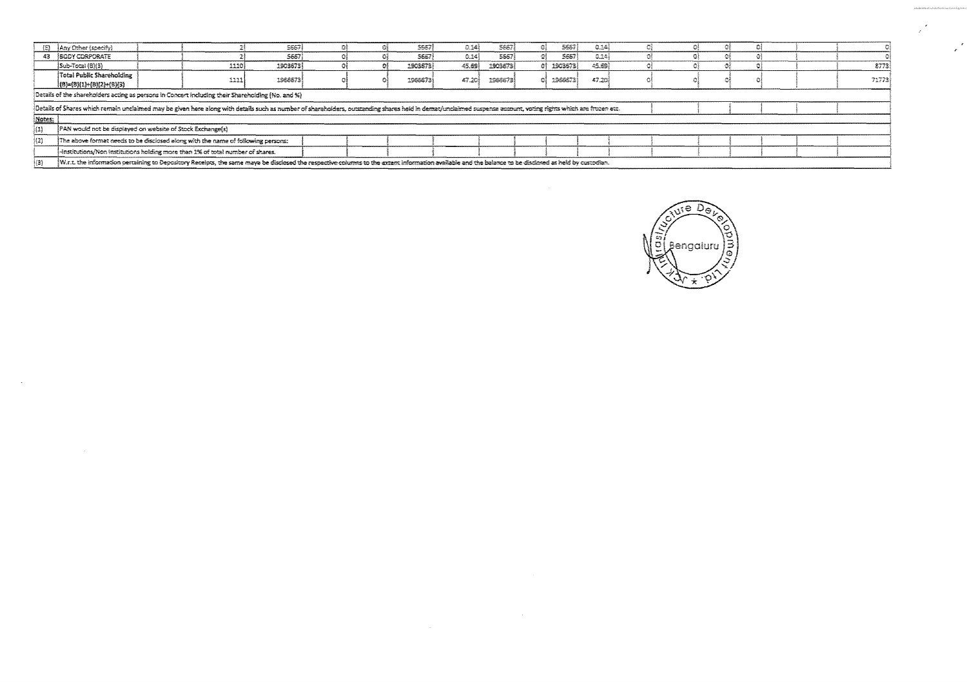|        | (E) Any Other (specify)                                                                                                                                                                                        |      | 5667     |  |  | 5667    | 0.14   | 5667    |  | 5567        | 0.34  |  |  |  |  |  |       |
|--------|----------------------------------------------------------------------------------------------------------------------------------------------------------------------------------------------------------------|------|----------|--|--|---------|--------|---------|--|-------------|-------|--|--|--|--|--|-------|
|        | 43 <b>SCOY CORPORATE</b>                                                                                                                                                                                       |      | 5657     |  |  | 5667    | 0.14   | 5567    |  | 5657        | 0.34  |  |  |  |  |  |       |
|        | $ Sub-Total(8) 3\rangle$                                                                                                                                                                                       | 1110 | 1903673) |  |  | 1903673 | 45.69  | 1903573 |  | 01 19036731 | 45.89 |  |  |  |  |  | 8773  |
|        | Total Public Shareholding                                                                                                                                                                                      | 1111 | 1966673  |  |  | 1966673 | 47.201 | 1966673 |  | 1966673     | 47.20 |  |  |  |  |  | 71773 |
|        | $(8)=(8)(1)+(8)(2)+(8)(3)$                                                                                                                                                                                     |      |          |  |  |         |        |         |  |             |       |  |  |  |  |  |       |
|        | Details of the shareholders acting as persons in Concert including their Shareholding (No. and %)                                                                                                              |      |          |  |  |         |        |         |  |             |       |  |  |  |  |  |       |
|        | Details of Shares which remain unclaimed may be given here along with details such as number of shareholders, outstanding shares held in demat/unclaimed suspense account, voting rights which are frozen etc. |      |          |  |  |         |        |         |  |             |       |  |  |  |  |  |       |
| Notes: |                                                                                                                                                                                                                |      |          |  |  |         |        |         |  |             |       |  |  |  |  |  |       |
| (1)    | PAN would not be displayed on website of Stock Exchange(s)                                                                                                                                                     |      |          |  |  |         |        |         |  |             |       |  |  |  |  |  |       |
| (2)    | The above format needs to be disclosed along with the name of following persons:                                                                                                                               |      |          |  |  |         |        |         |  |             |       |  |  |  |  |  |       |
|        | -institutions/Non institutions holding more than 1% of total number of shares.                                                                                                                                 |      |          |  |  |         |        |         |  |             |       |  |  |  |  |  |       |
| (3)    | W.r.t. the information pertaining to Depository Receipts, the same maya be disclosed the respective columns to the extent information available and the balance to be disclosed as held by custodian.          |      |          |  |  |         |        |         |  |             |       |  |  |  |  |  |       |

 $\sim 10^{-1}$ 

 $\sim$